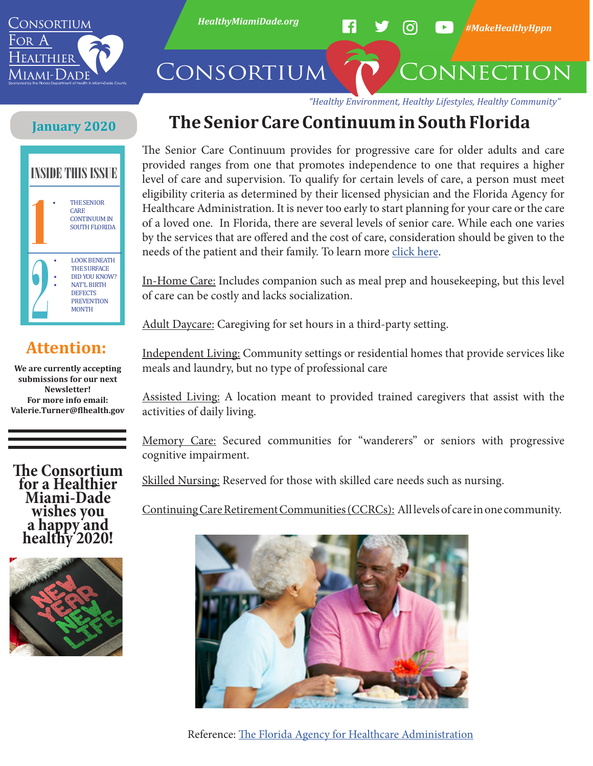

*HealthyMiamiDade.org H* **3 O** *HMakeHealthyHppn* 

# CONSORTIUM CONNECTION

*"Healthy Environment, Healthy Lifestyles, Healthy Community"*

#### **January 2020**



### **Attention:**

**We are currently accepting submissions for our next Newsletter! For more info email: Valerie.Turner@flhealth.gov**

**The Consortium for a Healthier Miami-Dade wishes you a happy and healthy 2020!**



# **The Senior Care Continuum in South Florida**

The Senior Care Continuum provides for progressive care for older adults and care provided ranges from one that promotes independence to one that requires a higher level of care and supervision. To qualify for certain levels of care, a person must meet eligibility criteria as determined by their licensed physician and the Florida Agency for Healthcare Administration. It is never too early to start planning for your care or the care of a loved one. In Florida, there are several levels of senior care. While each one varies by the services that are offered and the cost of care, consideration should be given to the needs of the patient and their family. To learn more [click here.](https://ahca.myflorida.com/)

In-Home Care: Includes companion such as meal prep and housekeeping, but this level of care can be costly and lacks socialization.

Adult Daycare: Caregiving for set hours in a third-party setting.

Independent Living: Community settings or residential homes that provide services like meals and laundry, but no type of professional care

Assisted Living: A location meant to provided trained caregivers that assist with the activities of daily living.

Memory Care: Secured communities for "wanderers" or seniors with progressive cognitive impairment.

Skilled Nursing: Reserved for those with skilled care needs such as nursing.

Continuing Care Retirement Communities (CCRCs): All levels of care in one community.



Reference: [The Florida Agency for Healthcare Administration](https://ahca.myflorida.com/)